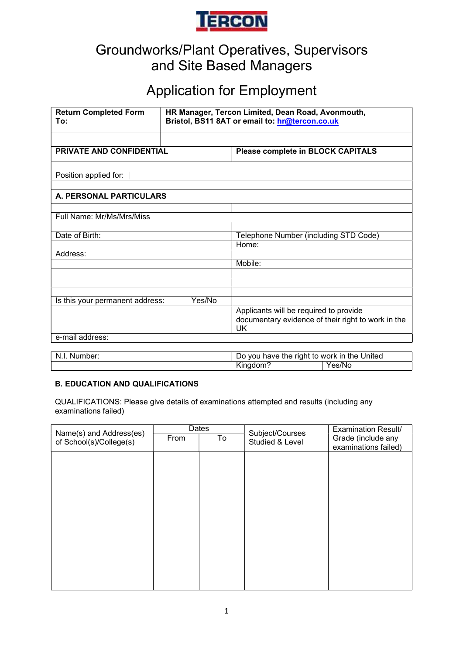

## Groundworks/Plant Operatives, Supervisors and Site Based Managers

# Application for Employment

| <b>Return Completed Form</b><br>To: | HR Manager, Tercon Limited, Dean Road, Avonmouth,<br>Bristol, BS11 8AT or email to: hr@tercon.co.uk |                                                                                                    |        |  |  |  |
|-------------------------------------|-----------------------------------------------------------------------------------------------------|----------------------------------------------------------------------------------------------------|--------|--|--|--|
|                                     |                                                                                                     |                                                                                                    |        |  |  |  |
| <b>PRIVATE AND CONFIDENTIAL</b>     |                                                                                                     | Please complete in BLOCK CAPITALS                                                                  |        |  |  |  |
|                                     |                                                                                                     |                                                                                                    |        |  |  |  |
| Position applied for:               |                                                                                                     |                                                                                                    |        |  |  |  |
| A. PERSONAL PARTICULARS             |                                                                                                     |                                                                                                    |        |  |  |  |
|                                     |                                                                                                     |                                                                                                    |        |  |  |  |
| Full Name: Mr/Ms/Mrs/Miss           |                                                                                                     |                                                                                                    |        |  |  |  |
| Date of Birth:                      |                                                                                                     | Telephone Number (including STD Code)                                                              |        |  |  |  |
|                                     |                                                                                                     | Home:                                                                                              |        |  |  |  |
| Address:                            |                                                                                                     | Mobile:                                                                                            |        |  |  |  |
|                                     |                                                                                                     |                                                                                                    |        |  |  |  |
|                                     |                                                                                                     |                                                                                                    |        |  |  |  |
| Is this your permanent address:     | Yes/No                                                                                              |                                                                                                    |        |  |  |  |
|                                     |                                                                                                     | Applicants will be required to provide<br>documentary evidence of their right to work in the<br>UK |        |  |  |  |
| e-mail address:                     |                                                                                                     |                                                                                                    |        |  |  |  |
| N.I. Number:                        |                                                                                                     | Do you have the right to work in the United                                                        |        |  |  |  |
|                                     |                                                                                                     | Kingdom?                                                                                           | Yes/No |  |  |  |

#### B. EDUCATION AND QUALIFICATIONS

QUALIFICATIONS: Please give details of examinations attempted and results (including any examinations failed)

| Name(s) and Address(es) | From | <b>Dates</b><br>$\overline{\mathsf{To}}$ | Subject/Courses | Examination Result/<br>Grade (include any |  |  |
|-------------------------|------|------------------------------------------|-----------------|-------------------------------------------|--|--|
| of School(s)/College(s) |      |                                          | Studied & Level | examinations failed)                      |  |  |
|                         |      |                                          |                 |                                           |  |  |
|                         |      |                                          |                 |                                           |  |  |
|                         |      |                                          |                 |                                           |  |  |
|                         |      |                                          |                 |                                           |  |  |
|                         |      |                                          |                 |                                           |  |  |
|                         |      |                                          |                 |                                           |  |  |
|                         |      |                                          |                 |                                           |  |  |
|                         |      |                                          |                 |                                           |  |  |
|                         |      |                                          |                 |                                           |  |  |
|                         |      |                                          |                 |                                           |  |  |
|                         |      |                                          |                 |                                           |  |  |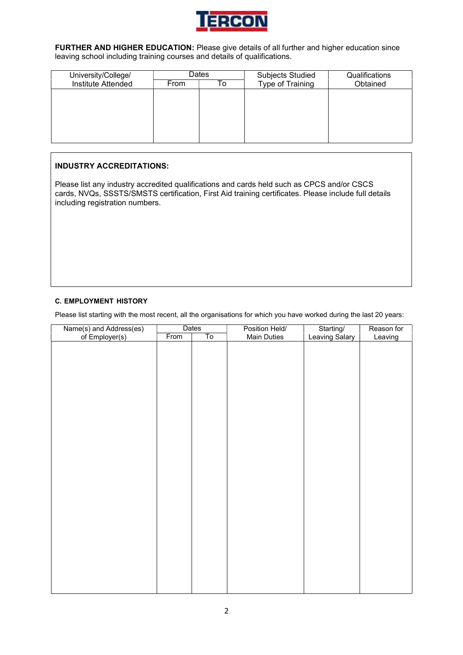

FURTHER AND HIGHER EDUCATION: Please give details of all further and higher education since leaving school including training courses and details of qualifications.

| University/College/ | Dates |     | <b>Subjects Studied</b> | Qualifications |  |
|---------------------|-------|-----|-------------------------|----------------|--|
| Institute Attended  | From  | l o | Type of Training        | Obtained       |  |
|                     |       |     |                         |                |  |
|                     |       |     |                         |                |  |
|                     |       |     |                         |                |  |
|                     |       |     |                         |                |  |
|                     |       |     |                         |                |  |
|                     |       |     |                         |                |  |

#### INDUSTRY ACCREDITATIONS:

Please list any industry accredited qualifications and cards held such as CPCS and/or CSCS cards, NVQs, SSSTS/SMSTS certification, First Aid training certificates. Please include full details including registration numbers.

#### C. EMPLOYMENT HISTORY

Please list starting with the most recent, all the organisations for which you have worked during the last 20 years:

|                                           | Dates |    | Position Held/     | Starting/<br>Leaving Salary | Reason for |
|-------------------------------------------|-------|----|--------------------|-----------------------------|------------|
| Name(s) and Address(es)<br>of Employer(s) | From  | To | <b>Main Duties</b> |                             | Leaving    |
|                                           |       |    |                    |                             |            |
|                                           |       |    |                    |                             |            |
|                                           |       |    |                    |                             |            |
|                                           |       |    |                    |                             |            |
|                                           |       |    |                    |                             |            |
|                                           |       |    |                    |                             |            |
|                                           |       |    |                    |                             |            |
|                                           |       |    |                    |                             |            |
|                                           |       |    |                    |                             |            |
|                                           |       |    |                    |                             |            |
|                                           |       |    |                    |                             |            |
|                                           |       |    |                    |                             |            |
|                                           |       |    |                    |                             |            |
|                                           |       |    |                    |                             |            |
|                                           |       |    |                    |                             |            |
|                                           |       |    |                    |                             |            |
|                                           |       |    |                    |                             |            |
|                                           |       |    |                    |                             |            |
|                                           |       |    |                    |                             |            |
|                                           |       |    |                    |                             |            |
|                                           |       |    |                    |                             |            |
|                                           |       |    |                    |                             |            |
|                                           |       |    |                    |                             |            |
|                                           |       |    |                    |                             |            |
|                                           |       |    |                    |                             |            |
|                                           |       |    |                    |                             |            |
|                                           |       |    |                    |                             |            |
|                                           |       |    |                    |                             |            |
|                                           |       |    |                    |                             |            |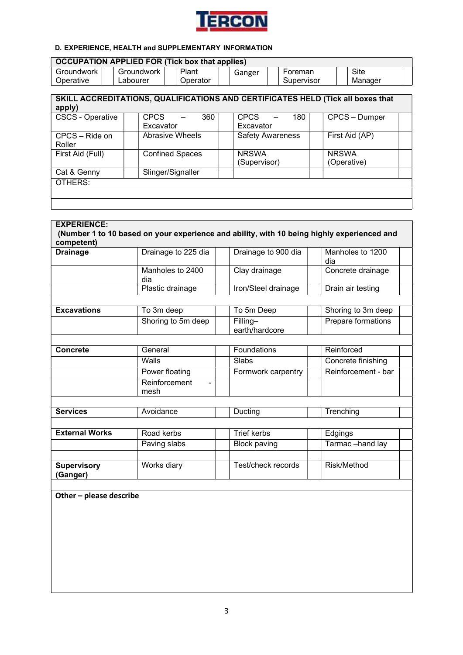

## D. EXPERIENCE, HEALTH and SUPPLEMENTARY INFORMATION

| <b>OCCUPATION APPLIED FOR (Tick box that applies)</b>                                      |          |                                  |                        |                  |                            |                                  |  |                    |                     |                   |                      |  |
|--------------------------------------------------------------------------------------------|----------|----------------------------------|------------------------|------------------|----------------------------|----------------------------------|--|--------------------|---------------------|-------------------|----------------------|--|
| <b>Groundwork</b>                                                                          |          | Groundwork                       |                        | Plant            |                            | <b>Site</b><br>Foreman<br>Ganger |  |                    |                     |                   |                      |  |
| Operative                                                                                  | Labourer |                                  |                        | Operator         |                            | Supervisor                       |  |                    |                     |                   | Manager              |  |
|                                                                                            |          |                                  |                        |                  |                            |                                  |  |                    |                     |                   |                      |  |
| SKILL ACCREDITATIONS, QUALIFICATIONS AND CERTIFICATES HELD (Tick all boxes that            |          |                                  |                        |                  |                            |                                  |  |                    |                     |                   |                      |  |
| apply)                                                                                     |          | <b>CPCS</b>                      |                        |                  |                            | <b>CPCS</b>                      |  |                    |                     |                   |                      |  |
| <b>CSCS - Operative</b>                                                                    |          | Excavator                        |                        | $\overline{360}$ |                            | Excavator                        |  | 180                |                     |                   | <b>CPCS - Dumper</b> |  |
| CPCS - Ride on                                                                             |          |                                  | <b>Abrasive Wheels</b> |                  |                            | <b>Safety Awareness</b>          |  |                    |                     |                   | First Aid (AP)       |  |
| Roller                                                                                     |          |                                  |                        |                  |                            |                                  |  |                    |                     |                   |                      |  |
| First Aid (Full)                                                                           |          |                                  | <b>Confined Spaces</b> |                  |                            | <b>NRSWA</b>                     |  |                    |                     | <b>NRSWA</b>      |                      |  |
|                                                                                            |          |                                  |                        |                  |                            | (Supervisor)                     |  |                    |                     |                   | (Operative)          |  |
| Cat & Genny                                                                                |          |                                  | Slinger/Signaller      |                  |                            |                                  |  |                    |                     |                   |                      |  |
| OTHERS:                                                                                    |          |                                  |                        |                  |                            |                                  |  |                    |                     |                   |                      |  |
|                                                                                            |          |                                  |                        |                  |                            |                                  |  |                    |                     |                   |                      |  |
|                                                                                            |          |                                  |                        |                  |                            |                                  |  |                    |                     |                   |                      |  |
|                                                                                            |          |                                  |                        |                  |                            |                                  |  |                    |                     |                   |                      |  |
| <b>EXPERIENCE:</b>                                                                         |          |                                  |                        |                  |                            |                                  |  |                    |                     |                   |                      |  |
| (Number 1 to 10 based on your experience and ability, with 10 being highly experienced and |          |                                  |                        |                  |                            |                                  |  |                    |                     |                   |                      |  |
| competent)                                                                                 |          |                                  |                        |                  |                            |                                  |  |                    |                     |                   |                      |  |
| <b>Drainage</b>                                                                            |          | Drainage to 225 dia              |                        |                  |                            | Drainage to 900 dia              |  |                    |                     |                   | Manholes to 1200     |  |
|                                                                                            |          |                                  |                        |                  |                            | Clay drainage                    |  |                    |                     | dia               |                      |  |
|                                                                                            |          | Manholes to 2400<br>dia          |                        |                  |                            |                                  |  |                    |                     |                   | Concrete drainage    |  |
|                                                                                            |          | Plastic drainage                 |                        |                  |                            | Iron/Steel drainage              |  |                    |                     | Drain air testing |                      |  |
|                                                                                            |          |                                  |                        |                  |                            |                                  |  |                    |                     |                   |                      |  |
| <b>Excavations</b>                                                                         |          |                                  |                        |                  |                            | To 5m Deep                       |  |                    |                     |                   | Shoring to 3m deep   |  |
|                                                                                            |          | To 3m deep<br>Shoring to 5m deep |                        |                  |                            |                                  |  | Prepare formations |                     |                   |                      |  |
|                                                                                            |          |                                  |                        |                  | Filling-<br>earth/hardcore |                                  |  |                    |                     |                   |                      |  |
|                                                                                            |          |                                  |                        |                  |                            |                                  |  |                    |                     |                   |                      |  |
| <b>Concrete</b>                                                                            |          | General                          |                        |                  |                            | Foundations                      |  |                    |                     | Reinforced        |                      |  |
|                                                                                            |          | Walls                            |                        |                  |                            | Slabs                            |  |                    |                     |                   | Concrete finishing   |  |
|                                                                                            |          | Power floating                   |                        |                  |                            | Formwork carpentry               |  |                    | Reinforcement - bar |                   |                      |  |
|                                                                                            |          | Reinforcement                    |                        |                  |                            |                                  |  |                    |                     |                   |                      |  |
|                                                                                            |          | mesh                             |                        |                  |                            |                                  |  |                    |                     |                   |                      |  |
|                                                                                            |          |                                  |                        |                  |                            |                                  |  |                    |                     |                   |                      |  |
| <b>Services</b>                                                                            |          | Avoidance                        |                        |                  |                            | Ducting                          |  |                    |                     | Trenching         |                      |  |
|                                                                                            |          |                                  |                        |                  |                            |                                  |  |                    |                     |                   |                      |  |
| <b>External Works</b>                                                                      |          | Road kerbs                       |                        |                  |                            | <b>Trief kerbs</b>               |  |                    |                     | Edgings           |                      |  |
|                                                                                            |          |                                  |                        |                  |                            |                                  |  |                    |                     |                   |                      |  |
|                                                                                            |          | Paving slabs                     |                        |                  |                            | <b>Block paving</b>              |  |                    |                     |                   | Tarmac-hand lay      |  |
|                                                                                            |          |                                  |                        |                  |                            |                                  |  |                    |                     |                   |                      |  |
| <b>Supervisory</b>                                                                         |          | Works diary                      |                        |                  |                            | Test/check records               |  |                    |                     |                   | Risk/Method          |  |
| (Ganger)                                                                                   |          |                                  |                        |                  |                            |                                  |  |                    |                     |                   |                      |  |
|                                                                                            |          |                                  |                        |                  |                            |                                  |  |                    |                     |                   |                      |  |
| Other - please describe                                                                    |          |                                  |                        |                  |                            |                                  |  |                    |                     |                   |                      |  |
|                                                                                            |          |                                  |                        |                  |                            |                                  |  |                    |                     |                   |                      |  |
|                                                                                            |          |                                  |                        |                  |                            |                                  |  |                    |                     |                   |                      |  |
|                                                                                            |          |                                  |                        |                  |                            |                                  |  |                    |                     |                   |                      |  |
|                                                                                            |          |                                  |                        |                  |                            |                                  |  |                    |                     |                   |                      |  |
|                                                                                            |          |                                  |                        |                  |                            |                                  |  |                    |                     |                   |                      |  |
|                                                                                            |          |                                  |                        |                  |                            |                                  |  |                    |                     |                   |                      |  |
|                                                                                            |          |                                  |                        |                  |                            |                                  |  |                    |                     |                   |                      |  |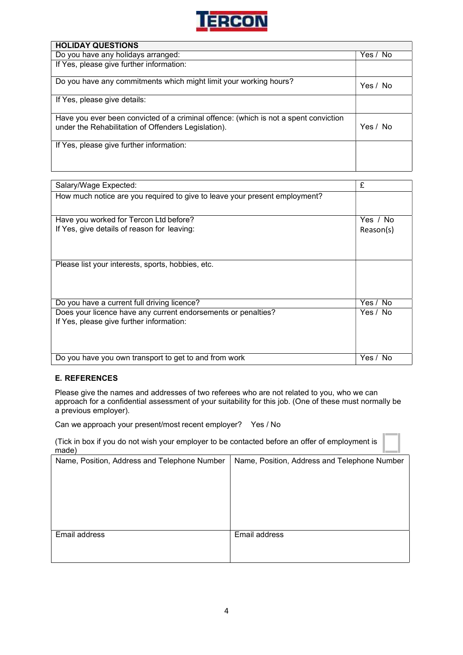

| <b>HOLIDAY QUESTIONS</b>                                                                                                                    |          |
|---------------------------------------------------------------------------------------------------------------------------------------------|----------|
| Do you have any holidays arranged:                                                                                                          | Yes / No |
| If Yes, please give further information:                                                                                                    |          |
| Do you have any commitments which might limit your working hours?                                                                           | Yes / No |
| If Yes, please give details:                                                                                                                |          |
| Have you ever been convicted of a criminal offence: (which is not a spent conviction<br>under the Rehabilitation of Offenders Legislation). | Yes / No |
| If Yes, please give further information:                                                                                                    |          |

| Salary/Wage Expected:                                                      | £         |
|----------------------------------------------------------------------------|-----------|
| How much notice are you required to give to leave your present employment? |           |
|                                                                            |           |
| Have you worked for Tercon Ltd before?                                     | Yes / No  |
| If Yes, give details of reason for leaving:                                | Reason(s) |
|                                                                            |           |
|                                                                            |           |
| Please list your interests, sports, hobbies, etc.                          |           |
|                                                                            |           |
|                                                                            |           |
| Do you have a current full driving licence?                                | Yes / No  |
| Does your licence have any current endorsements or penalties?              | Yes / No  |
| If Yes, please give further information:                                   |           |
|                                                                            |           |
|                                                                            |           |
| Do you have you own transport to get to and from work                      | Yes / No  |

## E. REFERENCES

Please give the names and addresses of two referees who are not related to you, who we can approach for a confidential assessment of your suitability for this job. (One of these must normally be a previous employer).

Can we approach your present/most recent employer? Yes / No

(Tick in box if you do not wish your employer to be contacted before an offer of employment is made)

| Name, Position, Address and Telephone Number | Name, Position, Address and Telephone Number |
|----------------------------------------------|----------------------------------------------|
|                                              |                                              |
|                                              |                                              |
|                                              |                                              |
|                                              |                                              |
|                                              |                                              |
| Email address                                | Email address                                |
|                                              |                                              |
|                                              |                                              |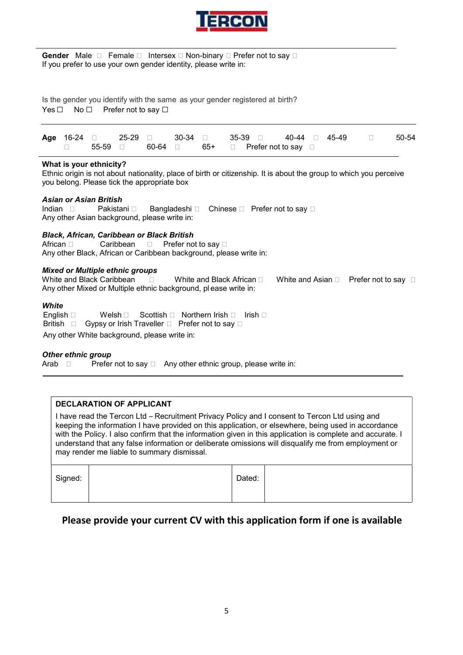

# **Gender** Male  $\Box$  Female  $\Box$  Intersex  $\Box$  Non-binary  $\Box$  Prefer not to say  $\Box$  If you prefer to use your own gender identity, please write in:

**Gender** Male □ Female □ Intersex □ Non-binary □ Prefer not to say □<br>If you prefer to use your own gender identity, please write in:<br>Is the gender you identify with the same as your gender registered at birth?<br>Yes □ No □ Is the gender you identify with the same as your gender registered at birth?<br>
Yes  $□$  No  $□$  Prefer not to say  $□$ 

| Is the gender you identify with the same as your gender registered at birth?<br>No $\Box$<br>Prefer not to say $\Box$<br>Yes $\Box$                                                                                                          |  |  |  |  |  |  |  |
|----------------------------------------------------------------------------------------------------------------------------------------------------------------------------------------------------------------------------------------------|--|--|--|--|--|--|--|
| 16-24<br>25-29<br>30-34<br>$35-39$<br>45-49<br>50-54<br>40-44<br>Age<br>$\Box$<br>$\Box$<br>$\Box$<br>П.<br>$\Box$<br>Ш<br>60-64<br>$65+$<br>55-59<br>Prefer not to say □<br>$\Box$<br>П.<br>$\Box$<br>$\Box$                                |  |  |  |  |  |  |  |
| What is your ethnicity?<br>Ethnic origin is not about nationality, place of birth or citizenship. It is about the group to which you perceive<br>you belong. Please tick the appropriate box                                                 |  |  |  |  |  |  |  |
| Asian or Asian British<br>Chinese $\square$ Prefer not to say $\square$<br>Pakistani □<br>Bangladeshi □<br>Indian $\square$<br>Any other Asian background, please write in:                                                                  |  |  |  |  |  |  |  |
| <b>Black, African, Caribbean or Black British</b><br>African □<br>Caribbean<br>Prefer not to say $\square$<br>$\Box$<br>Any other Black, African or Caribbean background, please write in:                                                   |  |  |  |  |  |  |  |
| <b>Mixed or Multiple ethnic groups</b><br>White and Black Caribbean<br>White and Black African $\square$<br>White and Asian $\square$<br>Prefer not to say $\square$<br>П<br>Any other Mixed or Multiple ethnic background, please write in: |  |  |  |  |  |  |  |
| White<br>English $\square$<br>Northern Irish $\Box$<br>Welsh $\square$<br>lrish $□$<br>Gypsy or Irish Traveller □ Prefer not to say □<br>British<br>$\Box$<br>Any other White background, please write in:                                   |  |  |  |  |  |  |  |

#### What is your ethnicity?

#### Asian or Asian British

#### Black, African, Caribbean or Black British

#### **Mixed or Multiple ethnic groups**

| White and Black Caribbean                      | White and Black African [ | White and Asian<br>__ | Prefer not to sav |
|------------------------------------------------|---------------------------|-----------------------|-------------------|
| Any other Mixed or Multiple ethnic background, | . please write in:        |                       |                   |

#### White

#### Other ethnic group

Arab  $\Box$  Prefer not to say  $\Box$  Any other ethnic group, please write in:

#### DECLARATION OF APPLICANT

I have read the Tercon Ltd – Recruitment Privacy Policy and I consent to Tercon Ltd using and keeping the information I have provided on this application, or elsewhere, being used in accordance with the Policy. I also confirm that the information given in this application is complete and accurate. I understand that any false information or deliberate omissions will disqualify me from employment or may render me liable to summary dismissal.

| Signed: | Dated: |  |
|---------|--------|--|
|         |        |  |

## Please provide your current CV with this application form if one is available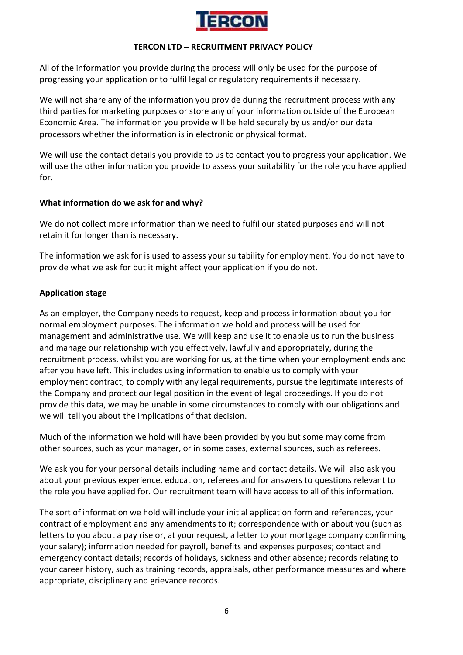

## TERCON LTD – RECRUITMENT PRIVACY POLICY

All of the information you provide during the process will only be used for the purpose of progressing your application or to fulfil legal or regulatory requirements if necessary.

We will not share any of the information you provide during the recruitment process with any third parties for marketing purposes or store any of your information outside of the European Economic Area. The information you provide will be held securely by us and/or our data processors whether the information is in electronic or physical format.

We will use the contact details you provide to us to contact you to progress your application. We will use the other information you provide to assess your suitability for the role you have applied for.

## What information do we ask for and why?

We do not collect more information than we need to fulfil our stated purposes and will not retain it for longer than is necessary.

The information we ask for is used to assess your suitability for employment. You do not have to provide what we ask for but it might affect your application if you do not.

## Application stage

As an employer, the Company needs to request, keep and process information about you for normal employment purposes. The information we hold and process will be used for management and administrative use. We will keep and use it to enable us to run the business and manage our relationship with you effectively, lawfully and appropriately, during the recruitment process, whilst you are working for us, at the time when your employment ends and after you have left. This includes using information to enable us to comply with your employment contract, to comply with any legal requirements, pursue the legitimate interests of the Company and protect our legal position in the event of legal proceedings. If you do not provide this data, we may be unable in some circumstances to comply with our obligations and we will tell you about the implications of that decision.

Much of the information we hold will have been provided by you but some may come from other sources, such as your manager, or in some cases, external sources, such as referees.

We ask you for your personal details including name and contact details. We will also ask you about your previous experience, education, referees and for answers to questions relevant to the role you have applied for. Our recruitment team will have access to all of this information.

The sort of information we hold will include your initial application form and references, your contract of employment and any amendments to it; correspondence with or about you (such as letters to you about a pay rise or, at your request, a letter to your mortgage company confirming your salary); information needed for payroll, benefits and expenses purposes; contact and emergency contact details; records of holidays, sickness and other absence; records relating to your career history, such as training records, appraisals, other performance measures and where appropriate, disciplinary and grievance records.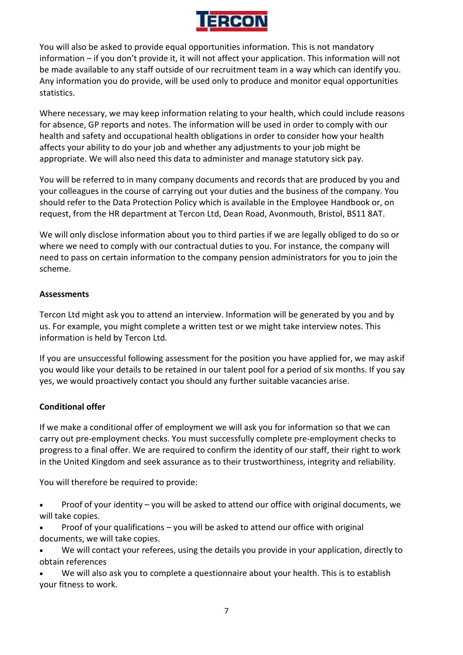

You will also be asked to provide equal opportunities information. This is not mandatory information – if you don't provide it, it will not affect your application. This information will not be made available to any staff outside of our recruitment team in a way which can identify you. Any information you do provide, will be used only to produce and monitor equal opportunities statistics.

Where necessary, we may keep information relating to your health, which could include reasons for absence, GP reports and notes. The information will be used in order to comply with our health and safety and occupational health obligations in order to consider how your health affects your ability to do your job and whether any adjustments to your job might be appropriate. We will also need this data to administer and manage statutory sick pay.

You will be referred to in many company documents and records that are produced by you and your colleagues in the course of carrying out your duties and the business of the company. You should refer to the Data Protection Policy which is available in the Employee Handbook or, on request, from the HR department at Tercon Ltd, Dean Road, Avonmouth, Bristol, BS11 8AT.

We will only disclose information about you to third parties if we are legally obliged to do so or where we need to comply with our contractual duties to you. For instance, the company will need to pass on certain information to the company pension administrators for you to join the scheme.

## **Assessments**

Tercon Ltd might ask you to attend an interview. Information will be generated by you and by us. For example, you might complete a written test or we might take interview notes. This information is held by Tercon Ltd.

If you are unsuccessful following assessment for the position you have applied for, we may askif you would like your details to be retained in our talent pool for a period of six months. If you say yes, we would proactively contact you should any further suitable vacancies arise.

## Conditional offer

If we make a conditional offer of employment we will ask you for information so that we can carry out pre-employment checks. You must successfully complete pre-employment checks to progress to a final offer. We are required to confirm the identity of our staff, their right to work in the United Kingdom and seek assurance as to their trustworthiness, integrity and reliability.

You will therefore be required to provide:

 Proof of your identity – you will be asked to attend our office with original documents, we will take copies.

- Proof of your qualifications you will be asked to attend our office with original documents, we will take copies.
- We will contact your referees, using the details you provide in your application, directly to obtain references

 We will also ask you to complete a questionnaire about your health. This is to establish your fitness to work.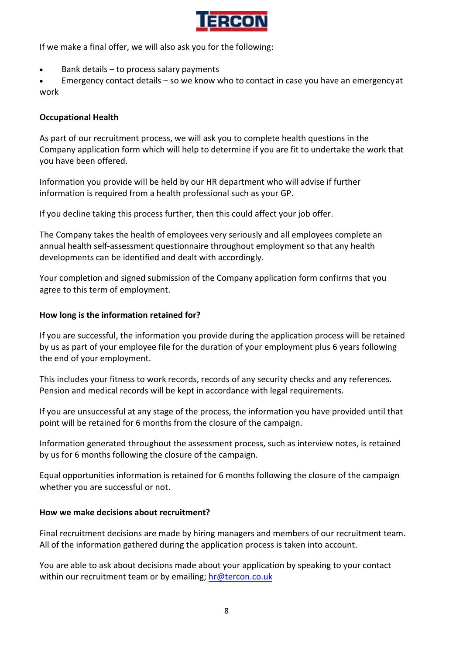

If we make a final offer, we will also ask you for the following:

Bank details – to process salary payments

 Emergency contact details – so we know who to contact in case you have an emergency at work

## Occupational Health

As part of our recruitment process, we will ask you to complete health questions in the Company application form which will help to determine if you are fit to undertake the work that you have been offered.

Information you provide will be held by our HR department who will advise if further information is required from a health professional such as your GP.

If you decline taking this process further, then this could affect your job offer.

The Company takes the health of employees very seriously and all employees complete an annual health self-assessment questionnaire throughout employment so that any health developments can be identified and dealt with accordingly.

Your completion and signed submission of the Company application form confirms that you agree to this term of employment.

## How long is the information retained for?

If you are successful, the information you provide during the application process will be retained by us as part of your employee file for the duration of your employment plus 6 years following the end of your employment.

This includes your fitness to work records, records of any security checks and any references. Pension and medical records will be kept in accordance with legal requirements.

If you are unsuccessful at any stage of the process, the information you have provided until that point will be retained for 6 months from the closure of the campaign.

Information generated throughout the assessment process, such as interview notes, is retained by us for 6 months following the closure of the campaign.

Equal opportunities information is retained for 6 months following the closure of the campaign whether you are successful or not.

## How we make decisions about recruitment?

Final recruitment decisions are made by hiring managers and members of our recruitment team. All of the information gathered during the application process is taken into account.

You are able to ask about decisions made about your application by speaking to your contact within our recruitment team or by emailing; hr@tercon.co.uk